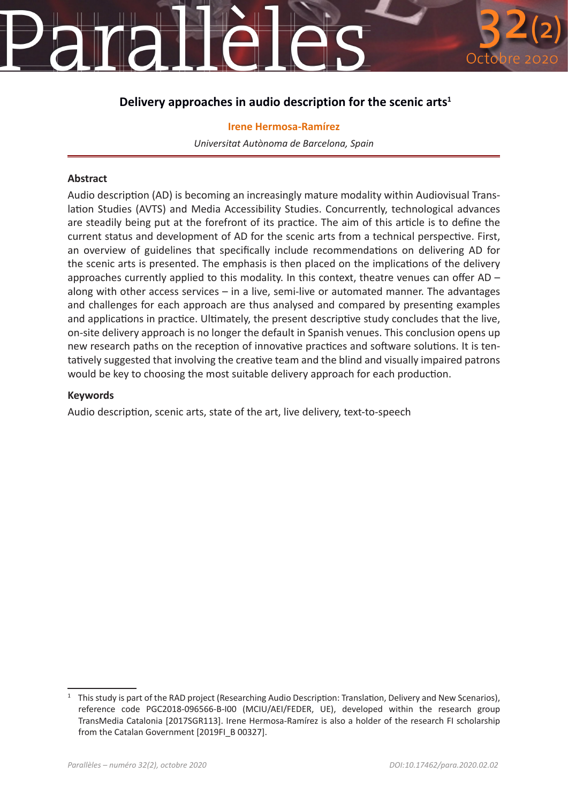## **Delivery approaches in audio description for the scenic arts<sup>1</sup>**

**Irene Hermosa-Ramírez** *Universitat Autònoma de Barcelona, Spain*

#### **Abstract**

Audio description (AD) is becoming an increasingly mature modality within Audiovisual Translation Studies (AVTS) and Media Accessibility Studies. Concurrently, technological advances are steadily being put at the forefront of its practice. The aim of this article is to define the current status and development of AD for the scenic arts from a technical perspective. First, an overview of guidelines that specifically include recommendations on delivering AD for the scenic arts is presented. The emphasis is then placed on the implications of the delivery approaches currently applied to this modality. In this context, theatre venues can offer AD  $$ along with other access services – in a live, semi-live or automated manner. The advantages and challenges for each approach are thus analysed and compared by presenting examples and applications in practice. Ultimately, the present descriptive study concludes that the live, on-site delivery approach is no longer the default in Spanish venues. This conclusion opens up new research paths on the reception of innovative practices and software solutions. It is tentatively suggested that involving the creative team and the blind and visually impaired patrons would be key to choosing the most suitable delivery approach for each production.

#### **Keywords**

Audio description, scenic arts, state of the art, live delivery, text-to-speech

<sup>&</sup>lt;sup>1</sup> This study is part of the RAD project (Researching Audio Description: Translation, Delivery and New Scenarios), reference code PGC2018-096566-B-I00 (MCIU/AEI/FEDER, UE), developed within the research group TransMedia Catalonia [2017SGR113]. Irene Hermosa-Ramírez is also a holder of the research FI scholarship from the Catalan Government [2019FI\_B 00327].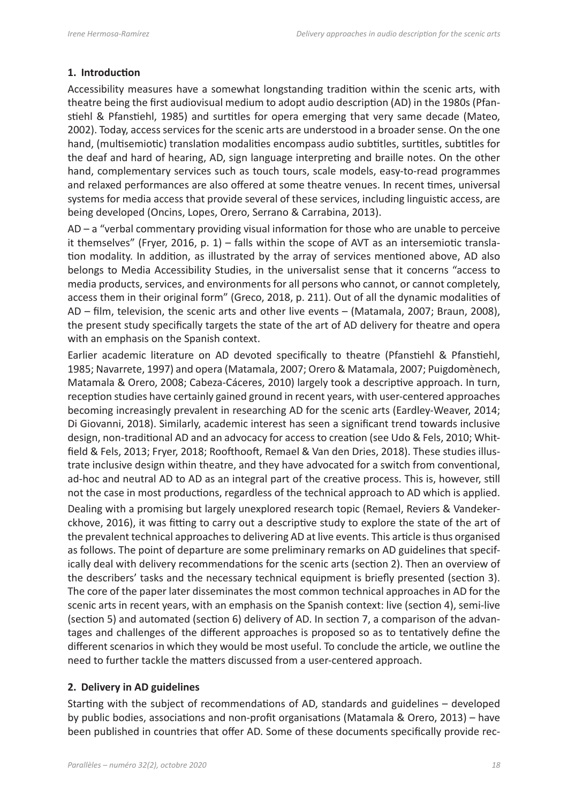## **1. Introduction**

Accessibility measures have a somewhat longstanding tradition within the scenic arts, with theatre being the first audiovisual medium to adopt audio description (AD) in the 1980s (Pfanstiehl & Pfanstiehl, 1985) and surtitles for opera emerging that very same decade (Mateo, 2002). Today, access services for the scenic arts are understood in a broader sense. On the one hand, (multisemiotic) translation modalities encompass audio subtitles, surtitles, subtitles for the deaf and hard of hearing, AD, sign language interpreting and braille notes. On the other hand, complementary services such as touch tours, scale models, easy-to-read programmes and relaxed performances are also offered at some theatre venues. In recent times, universal systems for media access that provide several of these services, including linguistic access, are being developed (Oncins, Lopes, Orero, Serrano & Carrabina, 2013).

AD – a "verbal commentary providing visual information for those who are unable to perceive it themselves" (Fryer, 2016, p. 1) – falls within the scope of AVT as an intersemiotic translation modality. In addition, as illustrated by the array of services mentioned above, AD also belongs to Media Accessibility Studies, in the universalist sense that it concerns "access to media products, services, and environments for all persons who cannot, or cannot completely, access them in their original form" (Greco, 2018, p. 211). Out of all the dynamic modalities of AD – film, television, the scenic arts and other live events – (Matamala, 2007; Braun, 2008), the present study specifically targets the state of the art of AD delivery for theatre and opera with an emphasis on the Spanish context.

Earlier academic literature on AD devoted specifically to theatre (Pfanstiehl & Pfanstiehl, 1985; Navarrete, 1997) and opera (Matamala, 2007; Orero & Matamala, 2007; Puigdomènech, Matamala & Orero, 2008; Cabeza-Cáceres, 2010) largely took a descriptive approach. In turn, reception studies have certainly gained ground in recent years, with user-centered approaches becoming increasingly prevalent in researching AD for the scenic arts (Eardley-Weaver, 2014; Di Giovanni, 2018). Similarly, academic interest has seen a significant trend towards inclusive design, non-traditional AD and an advocacy for access to creation (see Udo & Fels, 2010; Whitfield & Fels, 2013; Fryer, 2018; Roofthooft, Remael & Van den Dries, 2018). These studies illustrate inclusive design within theatre, and they have advocated for a switch from conventional, ad-hoc and neutral AD to AD as an integral part of the creative process. This is, however, still not the case in most productions, regardless of the technical approach to AD which is applied.

Dealing with a promising but largely unexplored research topic (Remael, Reviers & Vandekerckhove, 2016), it was fitting to carry out a descriptive study to explore the state of the art of the prevalent technical approaches to delivering AD at live events. This article is thus organised as follows. The point of departure are some preliminary remarks on AD guidelines that specifically deal with delivery recommendations for the scenic arts (section 2). Then an overview of the describers' tasks and the necessary technical equipment is briefly presented (section 3). The core of the paper later disseminates the most common technical approaches in AD for the scenic arts in recent years, with an emphasis on the Spanish context: live (section 4), semi-live (section 5) and automated (section 6) delivery of AD. In section 7, a comparison of the advantages and challenges of the different approaches is proposed so as to tentatively define the different scenarios in which they would be most useful. To conclude the article, we outline the need to further tackle the matters discussed from a user-centered approach.

#### **2. Delivery in AD guidelines**

Starting with the subject of recommendations of AD, standards and guidelines – developed by public bodies, associations and non-profit organisations (Matamala & Orero, 2013) – have been published in countries that offer AD. Some of these documents specifically provide rec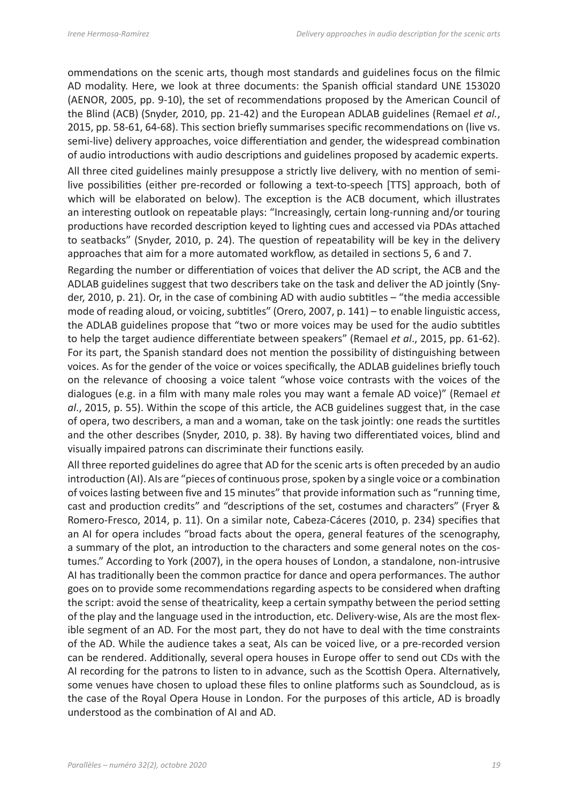ommendations on the scenic arts, though most standards and guidelines focus on the filmic AD modality. Here, we look at three documents: the Spanish official standard UNE 153020 (AENOR, 2005, pp. 9-10), the set of recommendations proposed by the American Council of the Blind (ACB) (Snyder, 2010, pp. 21-42) and the European ADLAB guidelines (Remael *et al.*, 2015, pp. 58-61, 64-68). This section briefly summarises specific recommendations on (live vs. semi-live) delivery approaches, voice differentiation and gender, the widespread combination of audio introductions with audio descriptions and guidelines proposed by academic experts.

All three cited guidelines mainly presuppose a strictly live delivery, with no mention of semilive possibilities (either pre-recorded or following a text-to-speech [TTS] approach, both of which will be elaborated on below). The exception is the ACB document, which illustrates an interesting outlook on repeatable plays: "Increasingly, certain long-running and/or touring productions have recorded description keyed to lighting cues and accessed via PDAs attached to seatbacks" (Snyder, 2010, p. 24). The question of repeatability will be key in the delivery approaches that aim for a more automated workflow, as detailed in sections 5, 6 and 7.

Regarding the number or differentiation of voices that deliver the AD script, the ACB and the ADLAB guidelines suggest that two describers take on the task and deliver the AD jointly (Snyder, 2010, p. 21). Or, in the case of combining AD with audio subtitles – "the media accessible mode of reading aloud, or voicing, subtitles" (Orero, 2007, p. 141) – to enable linguistic access, the ADLAB guidelines propose that "two or more voices may be used for the audio subtitles to help the target audience differentiate between speakers" (Remael *et al*., 2015, pp. 61-62). For its part, the Spanish standard does not mention the possibility of distinguishing between voices. As for the gender of the voice or voices specifically, the ADLAB guidelines briefly touch on the relevance of choosing a voice talent "whose voice contrasts with the voices of the dialogues (e.g. in a film with many male roles you may want a female AD voice)" (Remael *et al*., 2015, p. 55). Within the scope of this article, the ACB guidelines suggest that, in the case of opera, two describers, a man and a woman, take on the task jointly: one reads the surtitles and the other describes (Snyder, 2010, p. 38). By having two differentiated voices, blind and visually impaired patrons can discriminate their functions easily.

All three reported guidelines do agree that AD for the scenic arts is often preceded by an audio introduction (AI). AIs are "pieces of continuous prose, spoken by a single voice or a combination of voices lasting between five and 15 minutes" that provide information such as "running time, cast and production credits" and "descriptions of the set, costumes and characters" (Fryer & Romero-Fresco, 2014, p. 11). On a similar note, Cabeza-Cáceres (2010, p. 234) specifies that an AI for opera includes "broad facts about the opera, general features of the scenography, a summary of the plot, an introduction to the characters and some general notes on the costumes." According to York (2007), in the opera houses of London, a standalone, non-intrusive AI has traditionally been the common practice for dance and opera performances. The author goes on to provide some recommendations regarding aspects to be considered when drafting the script: avoid the sense of theatricality, keep a certain sympathy between the period setting of the play and the language used in the introduction, etc. Delivery-wise, AIs are the most flexible segment of an AD. For the most part, they do not have to deal with the time constraints of the AD. While the audience takes a seat, AIs can be voiced live, or a pre-recorded version can be rendered. Additionally, several opera houses in Europe offer to send out CDs with the AI recording for the patrons to listen to in advance, such as the Scottish Opera. Alternatively, some venues have chosen to upload these files to online platforms such as Soundcloud, as is the case of the Royal Opera House in London. For the purposes of this article, AD is broadly understood as the combination of AI and AD.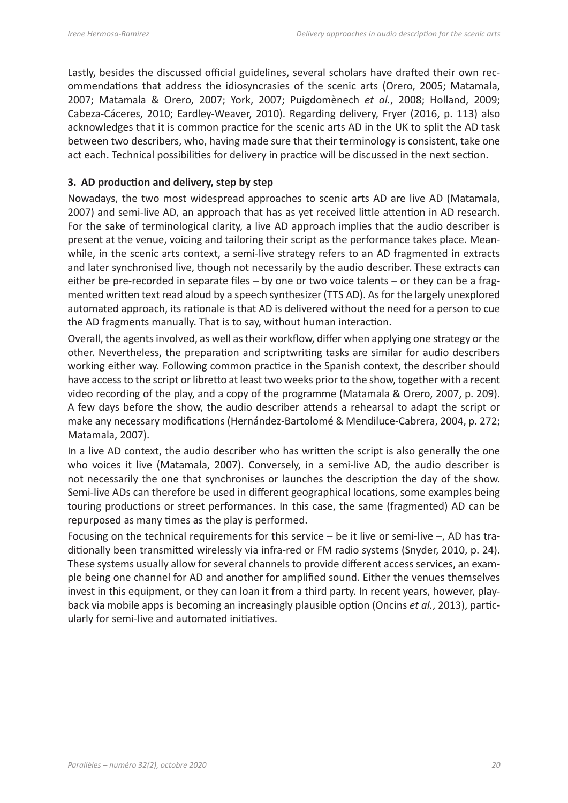Lastly, besides the discussed official guidelines, several scholars have drafted their own recommendations that address the idiosyncrasies of the scenic arts (Orero, 2005; Matamala, 2007; Matamala & Orero, 2007; York, 2007; Puigdomènech *et al.*, 2008; Holland, 2009; Cabeza-Cáceres, 2010; Eardley-Weaver, 2010). Regarding delivery, Fryer (2016, p. 113) also acknowledges that it is common practice for the scenic arts AD in the UK to split the AD task between two describers, who, having made sure that their terminology is consistent, take one act each. Technical possibilities for delivery in practice will be discussed in the next section.

## **3. AD production and delivery, step by step**

Nowadays, the two most widespread approaches to scenic arts AD are live AD (Matamala, 2007) and semi-live AD, an approach that has as yet received little attention in AD research. For the sake of terminological clarity, a live AD approach implies that the audio describer is present at the venue, voicing and tailoring their script as the performance takes place. Meanwhile, in the scenic arts context, a semi-live strategy refers to an AD fragmented in extracts and later synchronised live, though not necessarily by the audio describer. These extracts can either be pre-recorded in separate files – by one or two voice talents – or they can be a fragmented written text read aloud by a speech synthesizer (TTS AD). As for the largely unexplored automated approach, its rationale is that AD is delivered without the need for a person to cue the AD fragments manually. That is to say, without human interaction.

Overall, the agents involved, as well as their workflow, differ when applying one strategy or the other. Nevertheless, the preparation and scriptwriting tasks are similar for audio describers working either way. Following common practice in the Spanish context, the describer should have access to the script or libretto at least two weeks prior to the show, together with a recent video recording of the play, and a copy of the programme (Matamala & Orero, 2007, p. 209). A few days before the show, the audio describer attends a rehearsal to adapt the script or make any necessary modifications (Hernández-Bartolomé & Mendiluce-Cabrera, 2004, p. 272; Matamala, 2007).

In a live AD context, the audio describer who has written the script is also generally the one who voices it live (Matamala, 2007). Conversely, in a semi-live AD, the audio describer is not necessarily the one that synchronises or launches the description the day of the show. Semi-live ADs can therefore be used in different geographical locations, some examples being touring productions or street performances. In this case, the same (fragmented) AD can be repurposed as many times as the play is performed.

Focusing on the technical requirements for this service  $-$  be it live or semi-live  $-$ , AD has traditionally been transmitted wirelessly via infra-red or FM radio systems (Snyder, 2010, p. 24). These systems usually allow for several channels to provide different access services, an example being one channel for AD and another for amplified sound. Either the venues themselves invest in this equipment, or they can loan it from a third party. In recent years, however, playback via mobile apps is becoming an increasingly plausible option (Oncins *et al.*, 2013), particularly for semi-live and automated initiatives.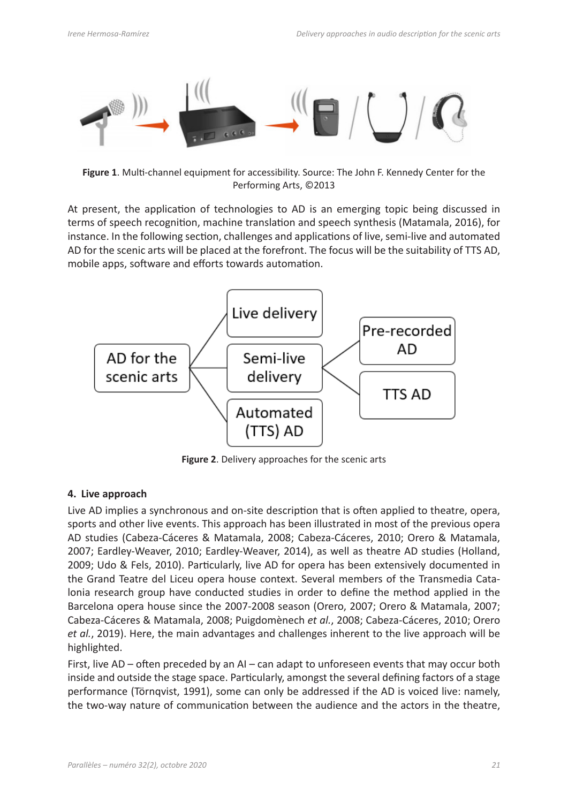

**Figure 1**. Multi-channel equipment for accessibility. Source: The John F. Kennedy Center for the Performing Arts, ©2013

At present, the application of technologies to AD is an emerging topic being discussed in terms of speech recognition, machine translation and speech synthesis (Matamala, 2016), for instance. In the following section, challenges and applications of live, semi-live and automated AD for the scenic arts will be placed at the forefront. The focus will be the suitability of TTS AD, mobile apps, software and efforts towards automation.



**Figure 2**. Delivery approaches for the scenic arts

#### **4. Live approach**

Live AD implies a synchronous and on-site description that is often applied to theatre, opera, sports and other live events. This approach has been illustrated in most of the previous opera AD studies (Cabeza-Cáceres & Matamala, 2008; Cabeza-Cáceres, 2010; Orero & Matamala, 2007; Eardley-Weaver, 2010; Eardley-Weaver, 2014), as well as theatre AD studies (Holland, 2009; Udo & Fels, 2010). Particularly, live AD for opera has been extensively documented in the Grand Teatre del Liceu opera house context. Several members of the Transmedia Catalonia research group have conducted studies in order to define the method applied in the Barcelona opera house since the 2007-2008 season (Orero, 2007; Orero & Matamala, 2007; Cabeza-Cáceres & Matamala, 2008; Puigdomènech *et al.*, 2008; Cabeza-Cáceres, 2010; Orero *et al.*, 2019). Here, the main advantages and challenges inherent to the live approach will be highlighted.

First, live AD – often preceded by an AI – can adapt to unforeseen events that may occur both inside and outside the stage space. Particularly, amongst the several defining factors of a stage performance (Törnqvist, 1991), some can only be addressed if the AD is voiced live: namely, the two-way nature of communication between the audience and the actors in the theatre,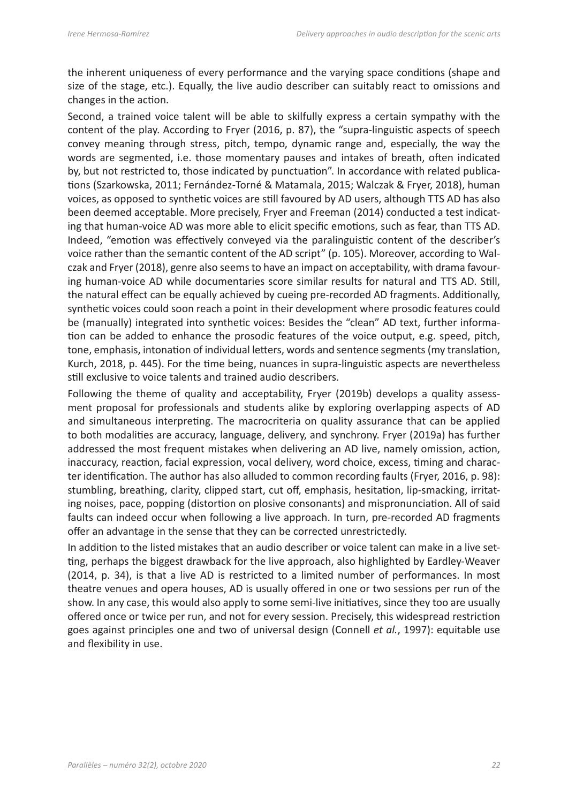the inherent uniqueness of every performance and the varying space conditions (shape and size of the stage, etc.). Equally, the live audio describer can suitably react to omissions and changes in the action.

Second, a trained voice talent will be able to skilfully express a certain sympathy with the content of the play. According to Fryer (2016, p. 87), the "supra-linguistic aspects of speech convey meaning through stress, pitch, tempo, dynamic range and, especially, the way the words are segmented, i.e. those momentary pauses and intakes of breath, often indicated by, but not restricted to, those indicated by punctuation". In accordance with related publications (Szarkowska, 2011; Fernández-Torné & Matamala, 2015; Walczak & Fryer, 2018), human voices, as opposed to synthetic voices are still favoured by AD users, although TTS AD has also been deemed acceptable. More precisely, Fryer and Freeman (2014) conducted a test indicating that human-voice AD was more able to elicit specific emotions, such as fear, than TTS AD. Indeed, "emotion was effectively conveyed via the paralinguistic content of the describer's voice rather than the semantic content of the AD script" (p. 105). Moreover, according to Walczak and Fryer (2018), genre also seems to have an impact on acceptability, with drama favouring human-voice AD while documentaries score similar results for natural and TTS AD. Still, the natural effect can be equally achieved by cueing pre-recorded AD fragments. Additionally, synthetic voices could soon reach a point in their development where prosodic features could be (manually) integrated into synthetic voices: Besides the "clean" AD text, further information can be added to enhance the prosodic features of the voice output, e.g. speed, pitch, tone, emphasis, intonation of individual letters, words and sentence segments (my translation, Kurch, 2018, p. 445). For the time being, nuances in supra-linguistic aspects are nevertheless still exclusive to voice talents and trained audio describers.

Following the theme of quality and acceptability, Fryer (2019b) develops a quality assessment proposal for professionals and students alike by exploring overlapping aspects of AD and simultaneous interpreting. The macrocriteria on quality assurance that can be applied to both modalities are accuracy, language, delivery, and synchrony. Fryer (2019a) has further addressed the most frequent mistakes when delivering an AD live, namely omission, action, inaccuracy, reaction, facial expression, vocal delivery, word choice, excess, timing and character identification. The author has also alluded to common recording faults (Fryer, 2016, p. 98): stumbling, breathing, clarity, clipped start, cut off, emphasis, hesitation, lip-smacking, irritating noises, pace, popping (distortion on plosive consonants) and mispronunciation. All of said faults can indeed occur when following a live approach. In turn, pre-recorded AD fragments offer an advantage in the sense that they can be corrected unrestrictedly.

In addition to the listed mistakes that an audio describer or voice talent can make in a live setting, perhaps the biggest drawback for the live approach, also highlighted by Eardley-Weaver (2014, p. 34), is that a live AD is restricted to a limited number of performances. In most theatre venues and opera houses, AD is usually offered in one or two sessions per run of the show. In any case, this would also apply to some semi-live initiatives, since they too are usually offered once or twice per run, and not for every session. Precisely, this widespread restriction goes against principles one and two of universal design (Connell *et al.*, 1997): equitable use and flexibility in use.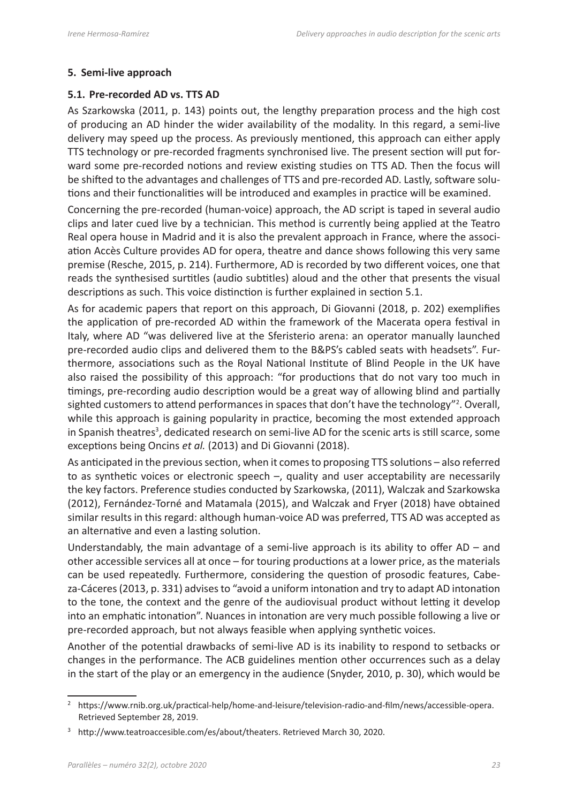#### **5. Semi-live approach**

#### **5.1. Pre-recorded AD vs. TTS AD**

As Szarkowska (2011, p. 143) points out, the lengthy preparation process and the high cost of producing an AD hinder the wider availability of the modality. In this regard, a semi-live delivery may speed up the process. As previously mentioned, this approach can either apply TTS technology or pre-recorded fragments synchronised live. The present section will put forward some pre-recorded notions and review existing studies on TTS AD. Then the focus will be shifted to the advantages and challenges of TTS and pre-recorded AD. Lastly, software solutions and their functionalities will be introduced and examples in practice will be examined.

Concerning the pre-recorded (human-voice) approach, the AD script is taped in several audio clips and later cued live by a technician. This method is currently being applied at the Teatro Real opera house in Madrid and it is also the prevalent approach in France, where the association Accès Culture provides AD for opera, theatre and dance shows following this very same premise (Resche, 2015, p. 214). Furthermore, AD is recorded by two different voices, one that reads the synthesised surtitles (audio subtitles) aloud and the other that presents the visual descriptions as such. This voice distinction is further explained in section 5.1.

As for academic papers that report on this approach, Di Giovanni (2018, p. 202) exemplifies the application of pre-recorded AD within the framework of the Macerata opera festival in Italy, where AD "was delivered live at the Sferisterio arena: an operator manually launched pre-recorded audio clips and delivered them to the B&PS's cabled seats with headsets". Furthermore, associations such as the Royal National Institute of Blind People in the UK have also raised the possibility of this approach: "for productions that do not vary too much in timings, pre-recording audio description would be a great way of allowing blind and partially sighted customers to attend performances in spaces that don't have the technology"<sup>2</sup>. Overall, while this approach is gaining popularity in practice, becoming the most extended approach in Spanish theatres<sup>3</sup>, dedicated research on semi-live AD for the scenic arts is still scarce, some exceptions being Oncins *et al.* (2013) and Di Giovanni (2018).

As anticipated in the previous section, when it comes to proposing TTS solutions – also referred to as synthetic voices or electronic speech –, quality and user acceptability are necessarily the key factors. Preference studies conducted by Szarkowska, (2011), Walczak and Szarkowska (2012), Fernández-Torné and Matamala (2015), and Walczak and Fryer (2018) have obtained similar results in this regard: although human-voice AD was preferred, TTS AD was accepted as an alternative and even a lasting solution.

Understandably, the main advantage of a semi-live approach is its ability to offer  $AD - and$ other accessible services all at once – for touring productions at a lower price, as the materials can be used repeatedly. Furthermore, considering the question of prosodic features, Cabeza-Cáceres (2013, p. 331) advises to "avoid a uniform intonation and try to adapt AD intonation to the tone, the context and the genre of the audiovisual product without letting it develop into an emphatic intonation". Nuances in intonation are very much possible following a live or pre-recorded approach, but not always feasible when applying synthetic voices.

Another of the potential drawbacks of semi-live AD is its inability to respond to setbacks or changes in the performance. The ACB guidelines mention other occurrences such as a delay in the start of the play or an emergency in the audience (Snyder, 2010, p. 30), which would be

<sup>2</sup> https://www.rnib.org.uk/practical-help/home-and-leisure/television-radio-and-film/news/accessible-opera. Retrieved September 28, 2019.

<sup>&</sup>lt;sup>3</sup> http://www.teatroaccesible.com/es/about/theaters. Retrieved March 30, 2020.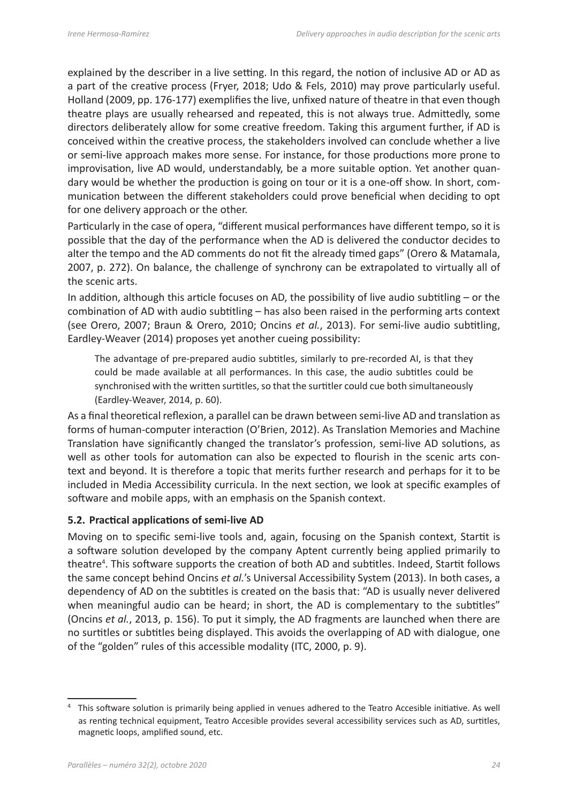explained by the describer in a live setting. In this regard, the notion of inclusive AD or AD as a part of the creative process (Fryer, 2018; Udo & Fels, 2010) may prove particularly useful. Holland (2009, pp. 176-177) exemplifies the live, unfixed nature of theatre in that even though theatre plays are usually rehearsed and repeated, this is not always true. Admittedly, some directors deliberately allow for some creative freedom. Taking this argument further, if AD is conceived within the creative process, the stakeholders involved can conclude whether a live or semi-live approach makes more sense. For instance, for those productions more prone to improvisation, live AD would, understandably, be a more suitable option. Yet another quandary would be whether the production is going on tour or it is a one-off show. In short, communication between the different stakeholders could prove beneficial when deciding to opt for one delivery approach or the other.

Particularly in the case of opera, "different musical performances have different tempo, so it is possible that the day of the performance when the AD is delivered the conductor decides to alter the tempo and the AD comments do not fit the already timed gaps" (Orero & Matamala, 2007, p. 272). On balance, the challenge of synchrony can be extrapolated to virtually all of the scenic arts.

In addition, although this article focuses on AD, the possibility of live audio subtitling – or the combination of AD with audio subtitling – has also been raised in the performing arts context (see Orero, 2007; Braun & Orero, 2010; Oncins *et al.*, 2013). For semi-live audio subtitling, Eardley-Weaver (2014) proposes yet another cueing possibility:

The advantage of pre-prepared audio subtitles, similarly to pre-recorded AI, is that they could be made available at all performances. In this case, the audio subtitles could be synchronised with the written surtitles, so that the surtitler could cue both simultaneously (Eardley-Weaver, 2014, p. 60).

As a final theoretical reflexion, a parallel can be drawn between semi-live AD and translation as forms of human-computer interaction (O'Brien, 2012). As Translation Memories and Machine Translation have significantly changed the translator's profession, semi-live AD solutions, as well as other tools for automation can also be expected to flourish in the scenic arts context and beyond. It is therefore a topic that merits further research and perhaps for it to be included in Media Accessibility curricula. In the next section, we look at specific examples of software and mobile apps, with an emphasis on the Spanish context.

#### **5.2. Practical applications of semi-live AD**

Moving on to specific semi-live tools and, again, focusing on the Spanish context, Startit is a software solution developed by the company Aptent currently being applied primarily to theatre<sup>4</sup>. This software supports the creation of both AD and subtitles. Indeed, Startit follows the same concept behind Oncins *et al.*'s Universal Accessibility System (2013). In both cases, a dependency of AD on the subtitles is created on the basis that: "AD is usually never delivered when meaningful audio can be heard; in short, the AD is complementary to the subtitles" (Oncins *et al.*, 2013, p. 156). To put it simply, the AD fragments are launched when there are no surtitles or subtitles being displayed. This avoids the overlapping of AD with dialogue, one of the "golden" rules of this accessible modality (ITC, 2000, p. 9).

<sup>4</sup> This software solution is primarily being applied in venues adhered to the Teatro Accesible initiative. As well as renting technical equipment, Teatro Accesible provides several accessibility services such as AD, surtitles, magnetic loops, amplified sound, etc.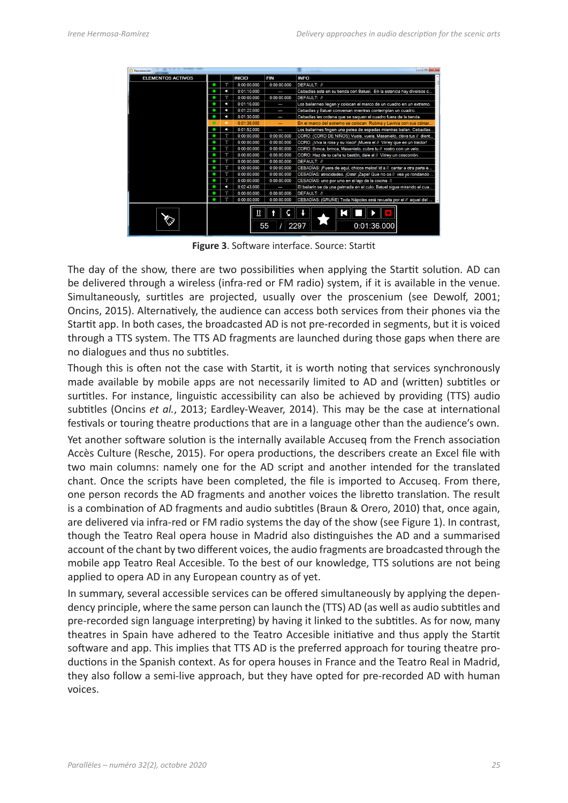| Reproducción             |    |                                                                    | ▏▭▕▏ိ                                                           |                                                                                                                                                                                                                                                                                                                                                                                                                                                                                                                                                                                                                                                              |  |  |
|--------------------------|----|--------------------------------------------------------------------|-----------------------------------------------------------------|--------------------------------------------------------------------------------------------------------------------------------------------------------------------------------------------------------------------------------------------------------------------------------------------------------------------------------------------------------------------------------------------------------------------------------------------------------------------------------------------------------------------------------------------------------------------------------------------------------------------------------------------------------------|--|--|
| <b>ELEMENTOS ACTIVOS</b> |    | <b>INICIO</b>                                                      | <b>FIN</b>                                                      | <b>INFO</b>                                                                                                                                                                                                                                                                                                                                                                                                                                                                                                                                                                                                                                                  |  |  |
|                          | Т  | 0:00:00.000                                                        | 0:00:00.000                                                     | <b>DEFAULT: //</b>                                                                                                                                                                                                                                                                                                                                                                                                                                                                                                                                                                                                                                           |  |  |
|                          | E. | 0:01:10.000                                                        |                                                                 | Cebadías está en su tienda con Batuel. En la estancia hay diversos c                                                                                                                                                                                                                                                                                                                                                                                                                                                                                                                                                                                         |  |  |
|                          | T  | 0:00:00.000                                                        | 0:00:00.000                                                     | <b>DEFAULT: //</b>                                                                                                                                                                                                                                                                                                                                                                                                                                                                                                                                                                                                                                           |  |  |
|                          | ×. | 0:01:16.000                                                        |                                                                 | Los bailarines llegan y colocan el marco de un cuadro en un extremo.                                                                                                                                                                                                                                                                                                                                                                                                                                                                                                                                                                                         |  |  |
|                          |    | 0:01:22.000                                                        | ł                                                               | Cebadías y Batuel conversan mientras contemplan un cuadro.                                                                                                                                                                                                                                                                                                                                                                                                                                                                                                                                                                                                   |  |  |
|                          |    | 0:01:30.000                                                        | Cebadías les ordena que se saquen el cuadro fuera de la tienda. |                                                                                                                                                                                                                                                                                                                                                                                                                                                                                                                                                                                                                                                              |  |  |
|                          |    | En el marco del extremo se colocan Rubina y Lavinia con sus cántar |                                                                 |                                                                                                                                                                                                                                                                                                                                                                                                                                                                                                                                                                                                                                                              |  |  |
|                          |    | 0:01:52.000                                                        | $\overline{a}$                                                  | Los bailarines fingen una pelea de espadas mientras bailan. Cebadías<br>CORO: (CORO DE NIÑOS) Vuela, vuela, Masanielo, clava tus // dient<br>CORO: ¡Viva la rosa y su rosor! ¡Muera el // Virrey que es un traidor!<br>CORO: Brinca, brinca, Masanielo, cubre tu // rostro con un velo.<br>CORO: Haz de tu caña tu bastón, dale al // Virrey un coscorrón.<br><b>DEFAULT: //</b><br>CEBADÍAS: ¡Fuera de aquí, chicos malos! Id a // cantar a otra parte e<br>CEBADÍAS: atrocidades. ¡Oste! ¡Zape! Que no os // vea yo rondando<br>CEBADÍAS: uno por uno en el tajo de la cocina. //<br>El bailarín se da una palmada en el culo. Batuel sigue mirando el cua |  |  |
|                          | Т  | 0:00:00.000                                                        | 0:00:00.000                                                     |                                                                                                                                                                                                                                                                                                                                                                                                                                                                                                                                                                                                                                                              |  |  |
|                          | Т  | 0:00:00.000                                                        | 0:00:00.000                                                     |                                                                                                                                                                                                                                                                                                                                                                                                                                                                                                                                                                                                                                                              |  |  |
|                          |    | 0:00:00.000                                                        | 0:00:00.000                                                     |                                                                                                                                                                                                                                                                                                                                                                                                                                                                                                                                                                                                                                                              |  |  |
|                          | T  | 0:00:00.000                                                        | 0:00:00.000                                                     |                                                                                                                                                                                                                                                                                                                                                                                                                                                                                                                                                                                                                                                              |  |  |
|                          | T  | 0:00:00.000                                                        | 0:00:00.000                                                     |                                                                                                                                                                                                                                                                                                                                                                                                                                                                                                                                                                                                                                                              |  |  |
|                          | Т  | 0:00:00.000                                                        | 0:00:00.000                                                     |                                                                                                                                                                                                                                                                                                                                                                                                                                                                                                                                                                                                                                                              |  |  |
|                          |    | 0:00:00.000                                                        | 0:00:00.000                                                     |                                                                                                                                                                                                                                                                                                                                                                                                                                                                                                                                                                                                                                                              |  |  |
|                          |    | 0:00:00.000                                                        | 0:00:00.000                                                     |                                                                                                                                                                                                                                                                                                                                                                                                                                                                                                                                                                                                                                                              |  |  |
|                          |    | 0:02:43.000                                                        |                                                                 |                                                                                                                                                                                                                                                                                                                                                                                                                                                                                                                                                                                                                                                              |  |  |
|                          | Т  | 0:00:00.000                                                        | 0:00:00.000                                                     | <b>DEFAULT: //</b>                                                                                                                                                                                                                                                                                                                                                                                                                                                                                                                                                                                                                                           |  |  |
|                          |    | 0:00:00.000                                                        | 0:00:00.000                                                     | CEBADÍAS: (GRUÑE) Toda Nápoles está revuelta por el // aquel del                                                                                                                                                                                                                                                                                                                                                                                                                                                                                                                                                                                             |  |  |
|                          |    | Ш                                                                  | 55                                                              | 2297<br>0:01:36.000                                                                                                                                                                                                                                                                                                                                                                                                                                                                                                                                                                                                                                          |  |  |

**Figure 3**. Software interface. Source: Startit

The day of the show, there are two possibilities when applying the Startit solution. AD can be delivered through a wireless (infra-red or FM radio) system, if it is available in the venue. Simultaneously, surtitles are projected, usually over the proscenium (see Dewolf, 2001; Oncins, 2015). Alternatively, the audience can access both services from their phones via the Startit app. In both cases, the broadcasted AD is not pre-recorded in segments, but it is voiced through a TTS system. The TTS AD fragments are launched during those gaps when there are no dialogues and thus no subtitles.

Though this is often not the case with Startit, it is worth noting that services synchronously made available by mobile apps are not necessarily limited to AD and (written) subtitles or surtitles. For instance, linguistic accessibility can also be achieved by providing (TTS) audio subtitles (Oncins *et al.*, 2013; Eardley-Weaver, 2014). This may be the case at international festivals or touring theatre productions that are in a language other than the audience's own.

Yet another software solution is the internally available Accuseq from the French association Accès Culture (Resche, 2015). For opera productions, the describers create an Excel file with two main columns: namely one for the AD script and another intended for the translated chant. Once the scripts have been completed, the file is imported to Accuseq. From there, one person records the AD fragments and another voices the libretto translation. The result is a combination of AD fragments and audio subtitles (Braun & Orero, 2010) that, once again, are delivered via infra-red or FM radio systems the day of the show (see Figure 1). In contrast, though the Teatro Real opera house in Madrid also distinguishes the AD and a summarised account of the chant by two different voices, the audio fragments are broadcasted through the mobile app Teatro Real Accesible. To the best of our knowledge, TTS solutions are not being applied to opera AD in any European country as of yet.

In summary, several accessible services can be offered simultaneously by applying the dependency principle, where the same person can launch the (TTS) AD (as well as audio subtitles and pre-recorded sign language interpreting) by having it linked to the subtitles. As for now, many theatres in Spain have adhered to the Teatro Accesible initiative and thus apply the Startit software and app. This implies that TTS AD is the preferred approach for touring theatre productions in the Spanish context. As for opera houses in France and the Teatro Real in Madrid, they also follow a semi-live approach, but they have opted for pre-recorded AD with human voices.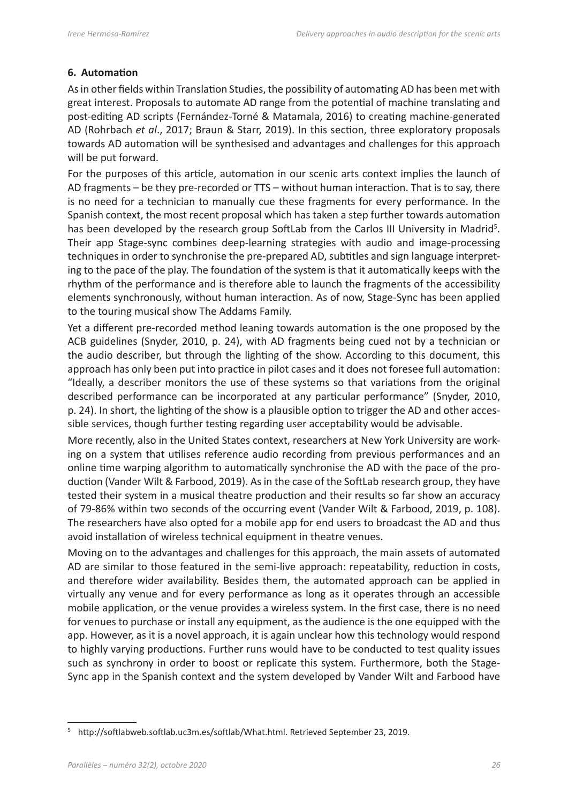# **6. Automation**

As in other fields within Translation Studies, the possibility of automating AD has been met with great interest. Proposals to automate AD range from the potential of machine translating and post-editing AD scripts (Fernández-Torné & Matamala, 2016) to creating machine-generated AD (Rohrbach *et al*., 2017; Braun & Starr, 2019). In this section, three exploratory proposals towards AD automation will be synthesised and advantages and challenges for this approach will be put forward.

For the purposes of this article, automation in our scenic arts context implies the launch of AD fragments – be they pre-recorded or TTS – without human interaction. That is to say, there is no need for a technician to manually cue these fragments for every performance. In the Spanish context, the most recent proposal which has taken a step further towards automation has been developed by the research group SoftLab from the Carlos III University in Madrid<sup>5</sup>. Their app Stage-sync combines deep-learning strategies with audio and image-processing techniques in order to synchronise the pre-prepared AD, subtitles and sign language interpreting to the pace of the play. The foundation of the system is that it automatically keeps with the rhythm of the performance and is therefore able to launch the fragments of the accessibility elements synchronously, without human interaction. As of now, Stage-Sync has been applied to the touring musical show The Addams Family.

Yet a different pre-recorded method leaning towards automation is the one proposed by the ACB guidelines (Snyder, 2010, p. 24), with AD fragments being cued not by a technician or the audio describer, but through the lighting of the show. According to this document, this approach has only been put into practice in pilot cases and it does not foresee full automation: "Ideally, a describer monitors the use of these systems so that variations from the original described performance can be incorporated at any particular performance" (Snyder, 2010, p. 24). In short, the lighting of the show is a plausible option to trigger the AD and other accessible services, though further testing regarding user acceptability would be advisable.

More recently, also in the United States context, researchers at New York University are working on a system that utilises reference audio recording from previous performances and an online time warping algorithm to automatically synchronise the AD with the pace of the production (Vander Wilt & Farbood, 2019). As in the case of the SoftLab research group, they have tested their system in a musical theatre production and their results so far show an accuracy of 79-86% within two seconds of the occurring event (Vander Wilt & Farbood, 2019, p. 108). The researchers have also opted for a mobile app for end users to broadcast the AD and thus avoid installation of wireless technical equipment in theatre venues.

Moving on to the advantages and challenges for this approach, the main assets of automated AD are similar to those featured in the semi-live approach: repeatability, reduction in costs, and therefore wider availability. Besides them, the automated approach can be applied in virtually any venue and for every performance as long as it operates through an accessible mobile application, or the venue provides a wireless system. In the first case, there is no need for venues to purchase or install any equipment, as the audience is the one equipped with the app. However, as it is a novel approach, it is again unclear how this technology would respond to highly varying productions. Further runs would have to be conducted to test quality issues such as synchrony in order to boost or replicate this system. Furthermore, both the Stage-Sync app in the Spanish context and the system developed by Vander Wilt and Farbood have

<sup>5</sup> <http://softlabweb.softlab.uc3m.es/softlab/What.html>. Retrieved September 23, 2019.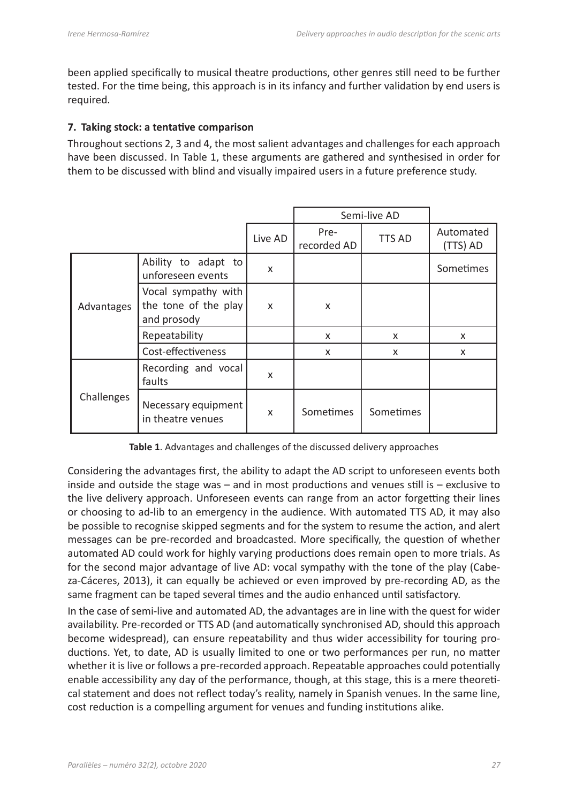been applied specifically to musical theatre productions, other genres still need to be further tested. For the time being, this approach is in its infancy and further validation by end users is required.

#### **7. Taking stock: a tentative comparison**

Throughout sections 2, 3 and 4, the most salient advantages and challenges for each approach have been discussed. In Table 1, these arguments are gathered and synthesised in order for them to be discussed with blind and visually impaired users in a future preference study.

|            |                                                            |         | Semi-live AD        |               |                           |
|------------|------------------------------------------------------------|---------|---------------------|---------------|---------------------------|
|            |                                                            | Live AD | Pre-<br>recorded AD | <b>TTS AD</b> | Automated<br>(TTS) AD     |
| Advantages | Ability to adapt to<br>unforeseen events                   | X       |                     |               | Sometimes                 |
|            | Vocal sympathy with<br>the tone of the play<br>and prosody | X       | X                   |               |                           |
|            | Repeatability                                              |         | X                   | X             | $\boldsymbol{\mathsf{x}}$ |
|            | Cost-effectiveness                                         |         | X                   | X             | X                         |
| Challenges | Recording and vocal<br>faults                              | X       |                     |               |                           |
|            | Necessary equipment<br>in theatre venues                   | X       | Sometimes           | Sometimes     |                           |

**Table 1**. Advantages and challenges of the discussed delivery approaches

Considering the advantages first, the ability to adapt the AD script to unforeseen events both inside and outside the stage was – and in most productions and venues still is – exclusive to the live delivery approach. Unforeseen events can range from an actor forgetting their lines or choosing to ad-lib to an emergency in the audience. With automated TTS AD, it may also be possible to recognise skipped segments and for the system to resume the action, and alert messages can be pre-recorded and broadcasted. More specifically, the question of whether automated AD could work for highly varying productions does remain open to more trials. As for the second major advantage of live AD: vocal sympathy with the tone of the play (Cabeza-Cáceres, 2013), it can equally be achieved or even improved by pre-recording AD, as the same fragment can be taped several times and the audio enhanced until satisfactory.

In the case of semi-live and automated AD, the advantages are in line with the quest for wider availability. Pre-recorded or TTS AD (and automatically synchronised AD, should this approach become widespread), can ensure repeatability and thus wider accessibility for touring productions. Yet, to date, AD is usually limited to one or two performances per run, no matter whether it is live or follows a pre-recorded approach. Repeatable approaches could potentially enable accessibility any day of the performance, though, at this stage, this is a mere theoretical statement and does not reflect today's reality, namely in Spanish venues. In the same line, cost reduction is a compelling argument for venues and funding institutions alike.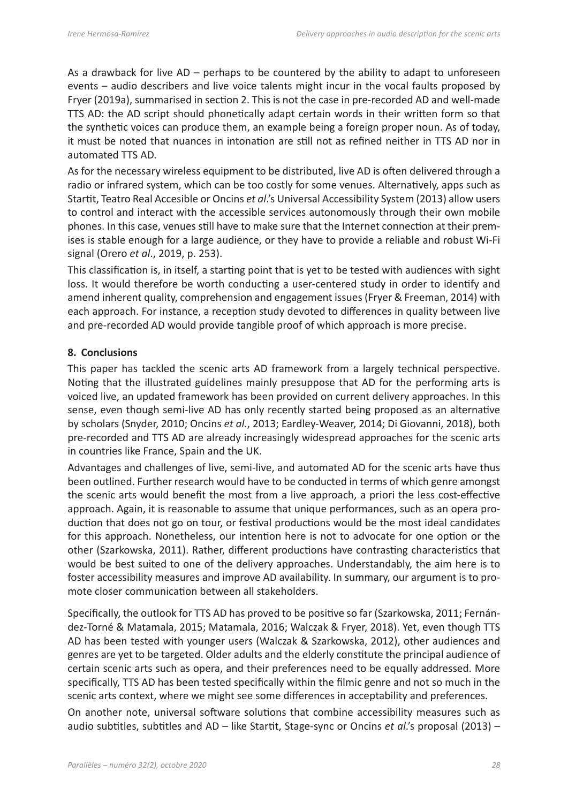As a drawback for live AD – perhaps to be countered by the ability to adapt to unforeseen events – audio describers and live voice talents might incur in the vocal faults proposed by Fryer (2019a), summarised in section 2. This is not the case in pre-recorded AD and well-made TTS AD: the AD script should phonetically adapt certain words in their written form so that the synthetic voices can produce them, an example being a foreign proper noun. As of today, it must be noted that nuances in intonation are still not as refined neither in TTS AD nor in automated TTS AD.

As for the necessary wireless equipment to be distributed, live AD is often delivered through a radio or infrared system, which can be too costly for some venues. Alternatively, apps such as Startit, Teatro Real Accesible or Oncins *et al*.'s Universal Accessibility System (2013) allow users to control and interact with the accessible services autonomously through their own mobile phones. In this case, venues still have to make sure that the Internet connection at their premises is stable enough for a large audience, or they have to provide a reliable and robust Wi-Fi signal (Orero *et al*., 2019, p. 253).

This classification is, in itself, a starting point that is yet to be tested with audiences with sight loss. It would therefore be worth conducting a user-centered study in order to identify and amend inherent quality, comprehension and engagement issues (Fryer & Freeman, 2014) with each approach. For instance, a reception study devoted to differences in quality between live and pre-recorded AD would provide tangible proof of which approach is more precise.

#### **8. Conclusions**

This paper has tackled the scenic arts AD framework from a largely technical perspective. Noting that the illustrated guidelines mainly presuppose that AD for the performing arts is voiced live, an updated framework has been provided on current delivery approaches. In this sense, even though semi-live AD has only recently started being proposed as an alternative by scholars (Snyder, 2010; Oncins *et al.*, 2013; Eardley-Weaver, 2014; Di Giovanni, 2018), both pre-recorded and TTS AD are already increasingly widespread approaches for the scenic arts in countries like France, Spain and the UK.

Advantages and challenges of live, semi-live, and automated AD for the scenic arts have thus been outlined. Further research would have to be conducted in terms of which genre amongst the scenic arts would benefit the most from a live approach, a priori the less cost-effective approach. Again, it is reasonable to assume that unique performances, such as an opera production that does not go on tour, or festival productions would be the most ideal candidates for this approach. Nonetheless, our intention here is not to advocate for one option or the other (Szarkowska, 2011). Rather, different productions have contrasting characteristics that would be best suited to one of the delivery approaches. Understandably, the aim here is to foster accessibility measures and improve AD availability. In summary, our argument is to promote closer communication between all stakeholders.

Specifically, the outlook for TTS AD has proved to be positive so far (Szarkowska, 2011; Fernández-Torné & Matamala, 2015; Matamala, 2016; Walczak & Fryer, 2018). Yet, even though TTS AD has been tested with younger users (Walczak & Szarkowska, 2012), other audiences and genres are yet to be targeted. Older adults and the elderly constitute the principal audience of certain scenic arts such as opera, and their preferences need to be equally addressed. More specifically, TTS AD has been tested specifically within the filmic genre and not so much in the scenic arts context, where we might see some differences in acceptability and preferences.

On another note, universal software solutions that combine accessibility measures such as audio subtitles, subtitles and AD – like Startit, Stage-sync or Oncins *et al*.'s proposal (2013) –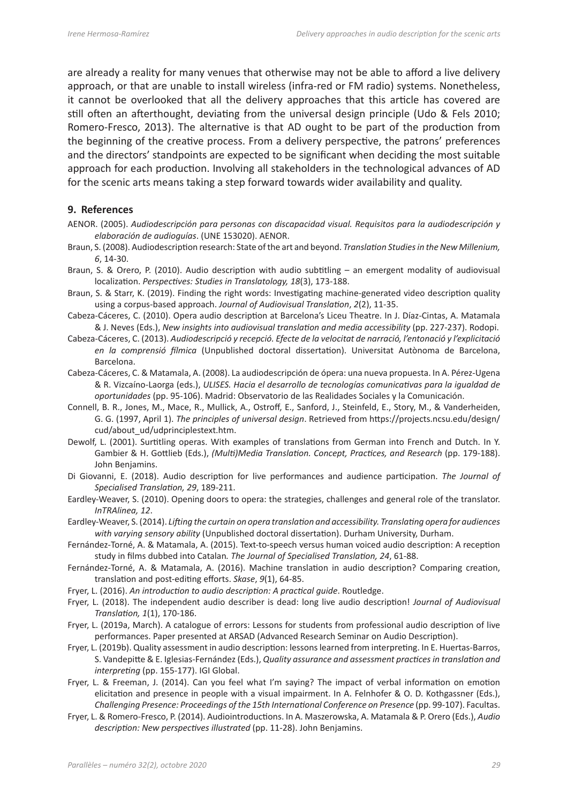are already a reality for many venues that otherwise may not be able to afford a live delivery approach, or that are unable to install wireless (infra-red or FM radio) systems. Nonetheless, it cannot be overlooked that all the delivery approaches that this article has covered are still often an afterthought, deviating from the universal design principle (Udo & Fels 2010; Romero-Fresco, 2013). The alternative is that AD ought to be part of the production from the beginning of the creative process. From a delivery perspective, the patrons' preferences and the directors' standpoints are expected to be significant when deciding the most suitable approach for each production. Involving all stakeholders in the technological advances of AD for the scenic arts means taking a step forward towards wider availability and quality.

#### **9. References**

- AENOR. (2005). *Audiodescripción para personas con discapacidad visual. Requisitos para la audiodescripción y elaboración de audioguías*. (UNE 153020). AENOR.
- Braun, S. (2008). Audiodescription research: State of the art and beyond. *Translation Studies in the New Millenium, 6*, 14-30.
- Braun, S. & Orero, P. (2010). Audio description with audio subtitling an emergent modality of audiovisual localization. *Perspectives: Studies in Translatology, 18*(3), 173-188.
- Braun, S. & Starr, K. (2019). Finding the right words: Investigating machine-generated video description quality using a corpus-based approach. *Journal of Audiovisual Translation*, *2*(2), 11-35.
- Cabeza-Cáceres, C. (2010). Opera audio description at Barcelona's Liceu Theatre. In J. Díaz-Cintas, A. Matamala & J. Neves (Eds.), *New insights into audiovisual translation and media accessibility* (pp. 227-237). Rodopi.
- Cabeza-Cáceres, C. (2013). *Audiodescripció y recepció. Efecte de la velocitat de narració, l'entonació y l'explicitació en la comprensió fílmica* (Unpublished doctoral dissertation). Universitat Autònoma de Barcelona, Barcelona.
- Cabeza-Cáceres, C. & Matamala, A. (2008). La audiodescripción de ópera: una nueva propuesta. In A. Pérez-Ugena & R. Vizcaíno-Laorga (eds.), *ULISES. Hacia el desarrollo de tecnologías comunicativas para la igualdad de oportunidades* (pp. 95-106). Madrid: Observatorio de las Realidades Sociales y la Comunicación.
- Connell, B. R., Jones, M., Mace, R., Mullick, A., Ostroff, E., Sanford, J., Steinfeld, E., Story, M., & Vanderheiden, G. G. (1997, April 1). *The principles of universal design*. Retrieved from [https://projects.ncsu.edu/design/](https://projects.ncsu.edu/design/cud/about_ud/udprinciplestext.htm) [cud/about\\_ud/udprinciplestext.htm](https://projects.ncsu.edu/design/cud/about_ud/udprinciplestext.htm).
- Dewolf, L. (2001). Surtitling operas. With examples of translations from German into French and Dutch. In Y. Gambier & H. Gottlieb (Eds.), *(Multi)Media Translation. Concept, Practices, and Research* (pp. 179-188). John Benjamins.
- Di Giovanni, E. (2018). Audio description for live performances and audience participation. *The Journal of Specialised Translation, 29*, 189-211.
- Eardley-Weaver, S. (2010). Opening doors to opera: the strategies, challenges and general role of the translator. *InTRAlinea, 12*.
- Eardley-Weaver, S. (2014). *Lifting the curtain on opera translation and accessibility. Translating opera for audiences with varying sensory ability* (Unpublished doctoral dissertation). Durham University, Durham.
- Fernández-Torné, A. & Matamala, A. (2015). Text-to-speech versus human voiced audio description: A reception study in films dubbed into Catalan*. The Journal of Specialised Translation, 24*, 61-88.
- Fernández-Torné, A. & Matamala, A. (2016). Machine translation in audio description? Comparing creation, translation and post-editing efforts. *Skase*, *9*(1), 64-85.
- Fryer, L. (2016). *An introduction to audio description: A practical guide*. Routledge.
- Fryer, L. (2018). The independent audio describer is dead: long live audio description! *Journal of Audiovisual Translation, 1*(1), 170-186.
- Fryer, L. (2019a, March). A catalogue of errors: Lessons for students from professional audio description of live performances. Paper presented at ARSAD (Advanced Research Seminar on Audio Description).
- Fryer, L. (2019b). Quality assessment in audio description: lessons learned from interpreting. In E. Huertas-Barros, S. Vandepitte & E. Iglesias-Fernández (Eds.), *Quality assurance and assessment practices in translation and interpreting* (pp. 155-177). IGI Global.
- Fryer, L. & Freeman, J. (2014). Can you feel what I'm saying? The impact of verbal information on emotion elicitation and presence in people with a visual impairment. In A. Felnhofer & O. D. Kothgassner (Eds.), *Challenging Presence: Proceedings of the 15th International Conference on Presence* (pp. 99-107). Facultas.
- Fryer, L. & Romero-Fresco, P. (2014). Audiointroductions. In A. Maszerowska, A. Matamala & P. Orero (Eds.), *Audio description: New perspectives illustrated* (pp. 11-28). John Benjamins.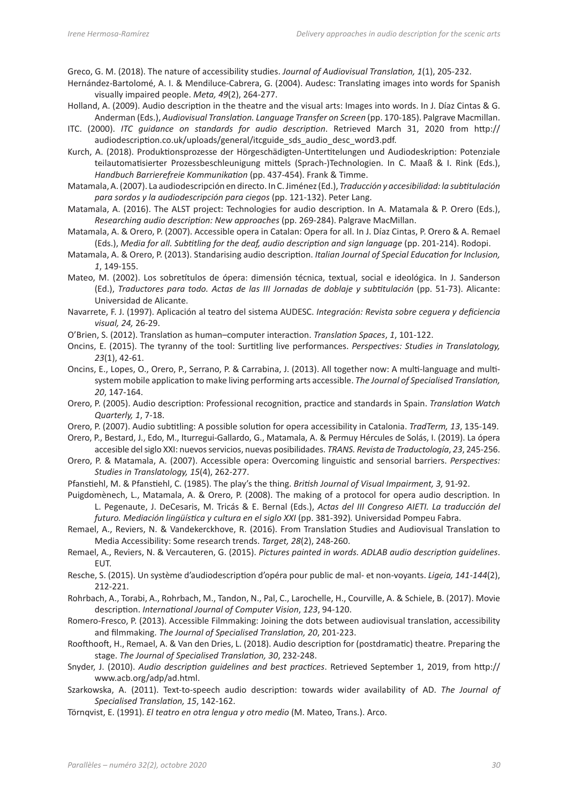Greco, G. M. (2018). The nature of accessibility studies. *Journal of Audiovisual Translation, 1*(1), 205-232.

- Hernández-Bartolomé, A. I. & Mendiluce-Cabrera, G. (2004). Audesc: Translating images into words for Spanish visually impaired people. *Meta, 49*(2), 264-277.
- Holland, A. (2009). Audio description in the theatre and the visual arts: Images into words. In J. Díaz Cintas & G. Anderman (Eds.), *Audiovisual Translation. Language Transfer on Screen* (pp. 170-185). Palgrave Macmillan.
- ITC. (2000). *ITC guidance on standards for audio description*. Retrieved March 31, 2020 from http:// audiodescription.co.uk/uploads/general/itcguide\_sds\_audio\_desc\_word3.pdf.
- Kurch, A. (2018). Produktionsprozesse der Hörgeschädigten-Untertitelungen und Audiodeskription: Potenziale teilautomatisierter Prozessbeschleunigung mittels (Sprach-)Technologien. In C. Maaß & I. Rink (Eds.), *Handbuch Barrierefreie Kommunikation* (pp. 437-454). Frank & Timme.
- Matamala, A. (2007). La audiodescripción en directo. In C. Jiménez (Ed.), *Traducción y accesibilidad: la subtitulación para sordos y la audiodescripción para ciegos* (pp. 121-132). Peter Lang.
- Matamala, A. (2016). The ALST project: Technologies for audio description. In A. Matamala & P. Orero (Eds.), *Researching audio description: New approaches* (pp. 269-284). Palgrave MacMillan.
- Matamala, A. & Orero, P. (2007). Accessible opera in Catalan: Opera for all. In J. Díaz Cintas, P. Orero & A. Remael (Eds.), *Media for all. Subtitling for the deaf, audio description and sign language* (pp. 201-214). Rodopi.
- Matamala, A. & Orero, P. (2013). Standarising audio description. *Italian Journal of Special Education for Inclusion, 1*, 149-155.
- Mateo, M. (2002). Los sobretítulos de ópera: dimensión técnica, textual, social e ideológica. In J. Sanderson (Ed.), *Traductores para todo. Actas de las III Jornadas de doblaje y subtitulación* (pp. 51-73). Alicante: Universidad de Alicante.
- Navarrete, F. J. (1997). Aplicación al teatro del sistema AUDESC. *Integración: Revista sobre ceguera y deficiencia visual, 24,* 26-29.
- O'Brien, S. (2012). Translation as human–computer interaction. *Translation Spaces*, *1*, 101-122.
- Oncins, E. (2015). The tyranny of the tool: Surtitling live performances. *Perspectives: Studies in Translatology, 23*(1), 42-61.
- Oncins, E., Lopes, O., Orero, P., Serrano, P. & Carrabina, J. (2013). All together now: A multi-language and multisystem mobile application to make living performing arts accessible. *The Journal of Specialised Translation, 20*, 147-164.
- Orero, P. (2005). Audio description: Professional recognition, practice and standards in Spain. *Translation Watch Quarterly, 1*, 7-18.
- Orero, P. (2007). Audio subtitling: A possible solution for opera accessibility in Catalonia. *TradTerm, 13*, 135-149.
- Orero, P., Bestard, J., Edo, M., Iturregui-Gallardo, G., Matamala, A. & Permuy Hércules de Solás, I. (2019). La ópera accesible del siglo XXI: nuevos servicios, nuevas posibilidades. *TRANS. Revista de Traductología*, *23*, 245-256.
- Orero, P. & Matamala, A. (2007). Accessible opera: Overcoming linguistic and sensorial barriers. *Perspectives: Studies in Translatology, 15*(4), 262-277.
- Pfanstiehl, M. & Pfanstiehl, C. (1985). The play's the thing. *British Journal of Visual Impairment, 3,* 91-92.
- Puigdomènech, L., Matamala, A. & Orero, P. (2008). The making of a protocol for opera audio description. In L. Pegenaute, J. DeCesaris, M. Tricás & E. Bernal (Eds.), *Actas del III Congreso AIETI. La traducción del futuro. Mediación lingüística y cultura en el siglo XXI* (pp. 381-392). Universidad Pompeu Fabra.
- Remael, A., Reviers, N. & Vandekerckhove, R. (2016). From Translation Studies and Audiovisual Translation to Media Accessibility: Some research trends. *Target, 28*(2), 248-260.
- Remael, A., Reviers, N. & Vercauteren, G. (2015). *Pictures painted in words. ADLAB audio description guidelines*. EUT.
- Resche, S. (2015). Un système d'audiodescription d'opéra pour public de mal- et non-voyants. *Ligeia, 141-144*(2), 212-221.
- Rohrbach, A., Torabi, A., Rohrbach, M., Tandon, N., Pal, C., Larochelle, H., Courville, A. & Schiele, B. (2017). Movie description. *International Journal of Computer Vision*, *123*, 94-120.
- Romero-Fresco, P. (2013). Accessible Filmmaking: Joining the dots between audiovisual translation, accessibility and filmmaking. *The Journal of Specialised Translation, 20*, 201-223.
- Roofthooft, H., Remael, A. & Van den Dries, L. (2018). Audio description for (postdramatic) theatre. Preparing the stage. *The Journal of Specialised Translation, 30*, 232-248.
- Snyder, J. (2010). *Audio description guidelines and best practices*. Retrieved September 1, 2019, from [http://](http://www.acb.org/adp/ad.html) [www.acb.org/adp/ad.html](http://www.acb.org/adp/ad.html).
- Szarkowska, A. (2011). Text-to-speech audio description: towards wider availability of AD. *The Journal of Specialised Translation, 15*, 142-162.
- Törnqvist, E. (1991). *El teatro en otra lengua y otro medio* (M. Mateo, Trans.). Arco.